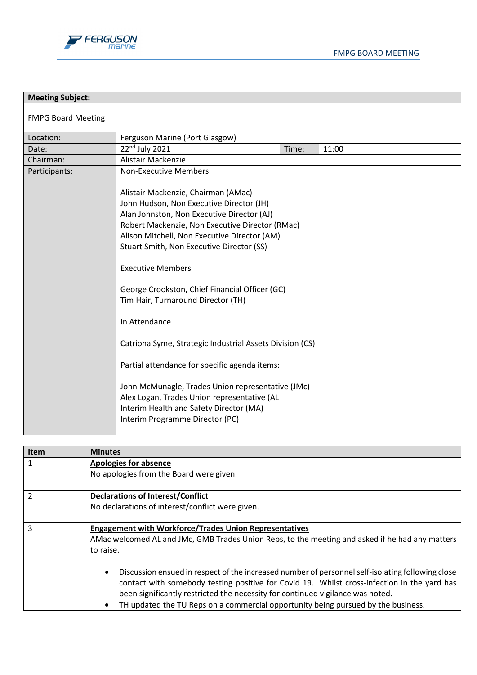

| <b>Meeting Subject:</b>   |                                                                                                                                                                                                                                                                                                                                                                                                                                                                                                                                                                                                                                                                                                                                                   |       |       |  |
|---------------------------|---------------------------------------------------------------------------------------------------------------------------------------------------------------------------------------------------------------------------------------------------------------------------------------------------------------------------------------------------------------------------------------------------------------------------------------------------------------------------------------------------------------------------------------------------------------------------------------------------------------------------------------------------------------------------------------------------------------------------------------------------|-------|-------|--|
| <b>FMPG Board Meeting</b> |                                                                                                                                                                                                                                                                                                                                                                                                                                                                                                                                                                                                                                                                                                                                                   |       |       |  |
| Location:                 | Ferguson Marine (Port Glasgow)                                                                                                                                                                                                                                                                                                                                                                                                                                                                                                                                                                                                                                                                                                                    |       |       |  |
| Date:                     | 22nd July 2021                                                                                                                                                                                                                                                                                                                                                                                                                                                                                                                                                                                                                                                                                                                                    | Time: | 11:00 |  |
| Chairman:                 | Alistair Mackenzie                                                                                                                                                                                                                                                                                                                                                                                                                                                                                                                                                                                                                                                                                                                                |       |       |  |
| Participants:             | <b>Non-Executive Members</b><br>Alistair Mackenzie, Chairman (AMac)<br>John Hudson, Non Executive Director (JH)<br>Alan Johnston, Non Executive Director (AJ)<br>Robert Mackenzie, Non Executive Director (RMac)<br>Alison Mitchell, Non Executive Director (AM)<br>Stuart Smith, Non Executive Director (SS)<br><b>Executive Members</b><br>George Crookston, Chief Financial Officer (GC)<br>Tim Hair, Turnaround Director (TH)<br>In Attendance<br>Catriona Syme, Strategic Industrial Assets Division (CS)<br>Partial attendance for specific agenda items:<br>John McMunagle, Trades Union representative (JMc)<br>Alex Logan, Trades Union representative (AL<br>Interim Health and Safety Director (MA)<br>Interim Programme Director (PC) |       |       |  |

| <b>Item</b>    | <b>Minutes</b>                                                                                                                                                                                                                                                                                                                                                         |
|----------------|------------------------------------------------------------------------------------------------------------------------------------------------------------------------------------------------------------------------------------------------------------------------------------------------------------------------------------------------------------------------|
| 1              | <b>Apologies for absence</b>                                                                                                                                                                                                                                                                                                                                           |
|                | No apologies from the Board were given.                                                                                                                                                                                                                                                                                                                                |
| $\overline{2}$ | <b>Declarations of Interest/Conflict</b>                                                                                                                                                                                                                                                                                                                               |
|                | No declarations of interest/conflict were given.                                                                                                                                                                                                                                                                                                                       |
| 3              | <b>Engagement with Workforce/Trades Union Representatives</b>                                                                                                                                                                                                                                                                                                          |
|                | AMac welcomed AL and JMc, GMB Trades Union Reps, to the meeting and asked if he had any matters                                                                                                                                                                                                                                                                        |
|                | to raise.                                                                                                                                                                                                                                                                                                                                                              |
|                | Discussion ensued in respect of the increased number of personnel self-isolating following close<br>contact with somebody testing positive for Covid 19. Whilst cross-infection in the yard has<br>been significantly restricted the necessity for continued vigilance was noted.<br>TH updated the TU Reps on a commercial opportunity being pursued by the business. |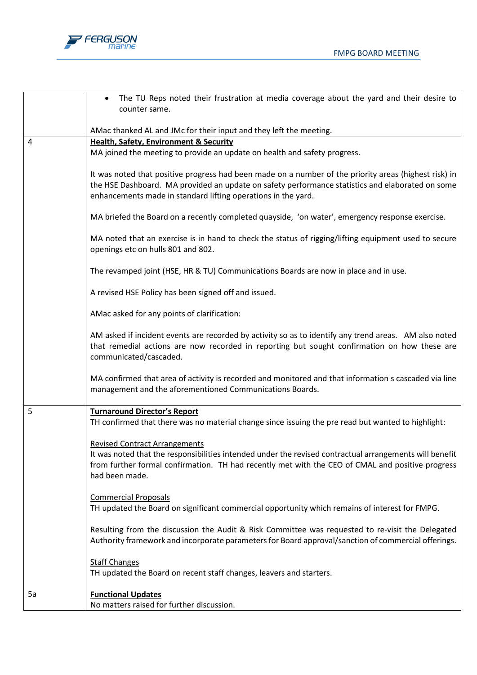



|    | A revised HSE Policy has been signed off and issued.<br>AMac asked for any points of clarification:                                                                                                                                                                   |
|----|-----------------------------------------------------------------------------------------------------------------------------------------------------------------------------------------------------------------------------------------------------------------------|
|    | AM asked if incident events are recorded by activity so as to identify any trend areas. AM also noted<br>that remedial actions are now recorded in reporting but sought confirmation on how these are<br>communicated/cascaded.                                       |
|    | MA confirmed that area of activity is recorded and monitored and that information s cascaded via line<br>management and the aforementioned Communications Boards.                                                                                                     |
| 5  | <b>Turnaround Director's Report</b><br>TH confirmed that there was no material change since issuing the pre read but wanted to highlight:                                                                                                                             |
|    | <b>Revised Contract Arrangements</b><br>It was noted that the responsibilities intended under the revised contractual arrangements will benefit<br>from further formal confirmation. TH had recently met with the CEO of CMAL and positive progress<br>had been made. |
|    | <b>Commercial Proposals</b><br>TH updated the Board on significant commercial opportunity which remains of interest for FMPG.                                                                                                                                         |
|    | Resulting from the discussion the Audit & Risk Committee was requested to re-visit the Delegated<br>Authority framework and incorporate parameters for Board approval/sanction of commercial offerings.                                                               |
|    | <b>Staff Changes</b><br>TH updated the Board on recent staff changes, leavers and starters.                                                                                                                                                                           |
| 5a | <b>Functional Updates</b><br>No matters raised for further discussion.                                                                                                                                                                                                |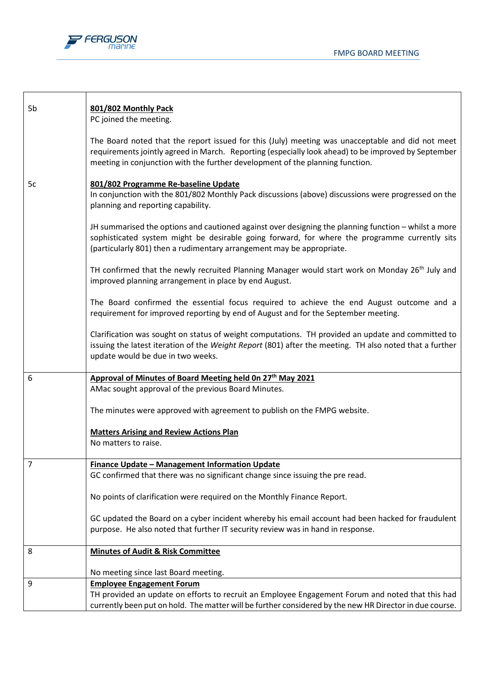

| 801/802 Monthly Pack<br>PC joined the meeting.                                                                                                                                                                                                                                           |
|------------------------------------------------------------------------------------------------------------------------------------------------------------------------------------------------------------------------------------------------------------------------------------------|
| The Board noted that the report issued for this (July) meeting was unacceptable and did not meet<br>requirements jointly agreed in March. Reporting (especially look ahead) to be improved by September<br>meeting in conjunction with the further development of the planning function. |
| 801/802 Programme Re-baseline Update<br>In conjunction with the 801/802 Monthly Pack discussions (above) discussions were progressed on the<br>planning and reporting capability.                                                                                                        |
| JH summarised the options and cautioned against over designing the planning function - whilst a more<br>sophisticated system might be desirable going forward, for where the programme currently sits<br>(particularly 801) then a rudimentary arrangement may be appropriate.           |
| TH confirmed that the newly recruited Planning Manager would start work on Monday 26 <sup>th</sup> July and<br>improved planning arrangement in place by end August.                                                                                                                     |
| The Board confirmed the essential focus required to achieve the end August outcome and a<br>requirement for improved reporting by end of August and for the September meeting.                                                                                                           |
| Clarification was sought on status of weight computations. TH provided an update and committed to<br>issuing the latest iteration of the Weight Report (801) after the meeting. TH also noted that a further<br>update would be due in two weeks.                                        |
| Approval of Minutes of Board Meeting held On 27th May 2021                                                                                                                                                                                                                               |
| AMac sought approval of the previous Board Minutes.                                                                                                                                                                                                                                      |
| The minutes were approved with agreement to publish on the FMPG website.                                                                                                                                                                                                                 |
| <b>Matters Arising and Review Actions Plan</b><br>No matters to raise.                                                                                                                                                                                                                   |
| <b>Finance Update - Management Information Update</b>                                                                                                                                                                                                                                    |
| GC confirmed that there was no significant change since issuing the pre read.                                                                                                                                                                                                            |
| No points of clarification were required on the Monthly Finance Report.                                                                                                                                                                                                                  |
| GC updated the Board on a cyber incident whereby his email account had been hacked for fraudulent<br>purpose. He also noted that further IT security review was in hand in response.                                                                                                     |
| <b>Minutes of Audit &amp; Risk Committee</b>                                                                                                                                                                                                                                             |
| No meeting since last Board meeting.                                                                                                                                                                                                                                                     |
| <b>Employee Engagement Forum</b><br>TH provided an update on efforts to recruit an Employee Engagement Forum and noted that this had<br>currently been put on hold. The matter will be further considered by the new HR Director in due course.                                          |
|                                                                                                                                                                                                                                                                                          |